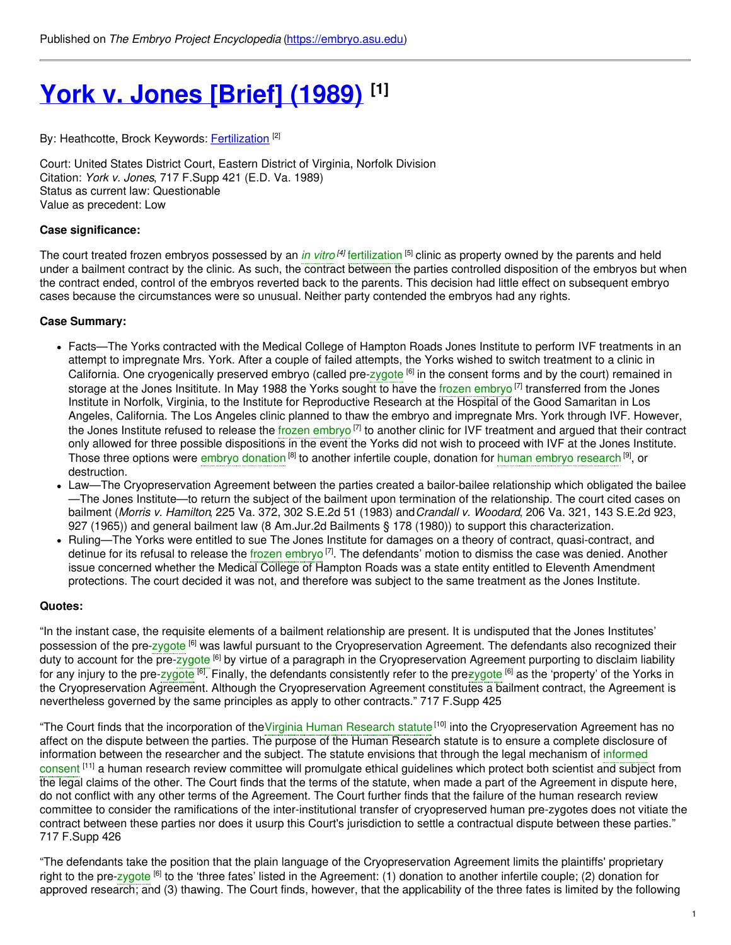# **York v. Jones [\[Brief\]](https://embryo.asu.edu/pages/york-v-jones-brief-1989) (1989) [1]**

By: Heathcotte, Brock Keywords: **[Fertilization](https://embryo.asu.edu/keywords/fertilization)** <sup>[2]</sup>

Court: United States District Court, Eastern District of Virginia, Norfolk Division Citation: *York v. Jones*, 717 F.Supp 421 (E.D. Va. 1989) Status as current law: Questionable Value as precedent: Low

## **Case significance:**

The court treated frozen embryos possessed by an *in [vitro](https://embryo.asu.edu/search?text=in%20vitro) [4]* [fertilization](https://embryo.asu.edu/search?text=fertilization) [5] clinic as property owned by the parents and held under a bailment contract by the clinic. As such, the contract between the parties controlled disposition of the embryos but when the contract ended, control of the embryos reverted back to the parents. This decision had little effect on subsequent embryo cases because the circumstances were so unusual. Neither party contended the embryos had any rights.

## **Case Summary:**

- Facts—The Yorks contracted with the Medical College of Hampton Roads Jones Institute to perform IVF treatments in an attempt to impregnate Mrs. York. After a couple of failed attempts, the Yorks wished to switch treatment to a clinic in California. One cryogenically preserved embryo (called pre-[zygote](https://embryo.asu.edu/search?text=zygote) <sup>[6]</sup> in the consent forms and by the court) remained in storage at the Jones Insititute. In May 1988 the Yorks sought to have the frozen [embryo](https://embryo.asu.edu/search?text=frozen%20embryo)<sup>[7]</sup> transferred from the Jones Institute in Norfolk, Virginia, to the Institute for Reproductive Research at the Hospital of the Good Samaritan in Los Angeles, California. The Los Angeles clinic planned to thaw the embryo and impregnate Mrs. York through IVF. However, the Jones Institute refused to release the frozen [embryo](https://embryo.asu.edu/search?text=frozen%20embryo)<sup>[7]</sup> to another clinic for IVF treatment and argued that their contract only allowed for three possible dispositions in the event the Yorks did not wish to proceed with IVF at the Jones Institute. Those three options were embryo [donation](https://embryo.asu.edu/search?text=embryo%20donation) <sup>[8]</sup> to another infertile couple, donation for human embryo [research](https://embryo.asu.edu/search?text=human%20embryo%20research) <sup>[9]</sup>, or destruction.
- Law—The Cryopreservation Agreement between the parties created a bailor-bailee relationship which obligated the bailee —The Jones Institute—to return the subject of the bailment upon termination of the relationship. The court cited cases on bailment (*Morris v. Hamilton*, 225 Va. 372, 302 S.E.2d 51 (1983) and*Crandall v. Woodard*, 206 Va. 321, 143 S.E.2d 923, 927 (1965)) and general bailment law (8 Am.Jur.2d Bailments § 178 (1980)) to support this characterization.
- Ruling—The Yorks were entitled to sue The Jones Institute for damages on a theory of contract, quasi-contract, and detinue for its refusal to release the frozen [embryo](https://embryo.asu.edu/search?text=frozen%20embryo)<sup>[7]</sup>. The defendants' motion to dismiss the case was denied. Another issue concerned whether the Medical College of Hampton Roads was a state entity entitled to Eleventh Amendment protections. The court decided it was not, and therefore was subject to the same treatment as the Jones Institute.

#### **Quotes:**

"In the instant case, the requisite elements of a bailment relationship are present. It is undisputed that the Jones Institutes' possession of the pre-[zygote](https://embryo.asu.edu/search?text=zygote) <sup>[6]</sup> was lawful pursuant to the Cryopreservation Agreement. The defendants also recognized their duty to account for the pre-[zygote](https://embryo.asu.edu/search?text=zygote) <sup>[6]</sup> by virtue of a paragraph in the Cryopreservation Agreement purporting to disclaim liability for any injury to the pre[-zygote](https://embryo.asu.edu/search?text=zygote) <sup>[6]</sup>. Finally, the defendants consistently refer to the pre<del>zygote</del> <sup>[6]</sup> as the 'property' of the Yorks in the Cryopreservation Agreement. Although the Cryopreservation Agreement constitutes a bailment contract, the Agreement is nevertheless governed by the same principles as apply to other contracts." 717 F.Supp 425

"The Court finds that the incorporation of the Virginia Human [Research](https://embryo.asu.edu/search?text=Virginia%20Human%20Research%20statute) statute<sup>[10]</sup> into the Cryopreservation Agreement has no affect on the dispute between the parties. The purpose of the Human Research statute is to ensure a complete disclosure of information between the researcher and the subject. The statute envisions that through the legal [mechanism](https://embryo.asu.edu/search?text=informed%20consent) of informed consent [11] a human research review committee will promulgate ethical guidelines which protect both scientist and subject from the legal claims of the other. The Court finds that the terms of the statute, when made a part of the Agreement in dispute here, do not conflict with any other terms of the Agreement. The Court further finds that the failure of the human research review committee to consider the ramifications of the inter-institutional transfer of cryopreserved human pre-zygotes does not vitiate the contract between these parties nor does it usurp this Court's jurisdiction to settle a contractual dispute between these parties." 717 F.Supp 426

"The defendants take the position that the plain language of the Cryopreservation Agreement limits the plaintiffs' proprietary right to the pre[-zygote](https://embryo.asu.edu/search?text=zygote) <sup>[6]</sup> to the 'three fates' listed in the Agreement: (1) donation to another infertile couple; (2) donation for approved research; and (3) thawing. The Court finds, however, that the applicability of the three fates is limited by the following